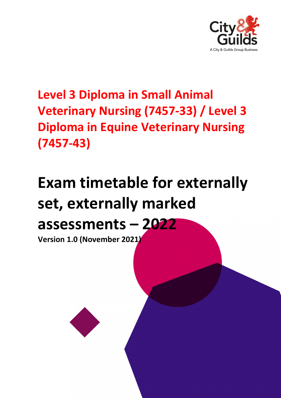

**Level 3 Diploma in Small Animal Veterinary Nursing (7457-33) / Level 3 Diploma in Equine Veterinary Nursing (7457-43)**

# **Exam timetable for externally set, externally marked assessments – 2022**

**Version 1.0 (November 2021)**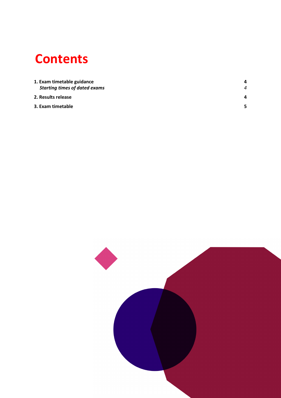## **Contents**

| 1. Exam timetable guidance           |   |  |
|--------------------------------------|---|--|
| <b>Starting times of dated exams</b> | 4 |  |
| 2. Results release                   | 4 |  |
| 3. Exam timetable                    | 5 |  |

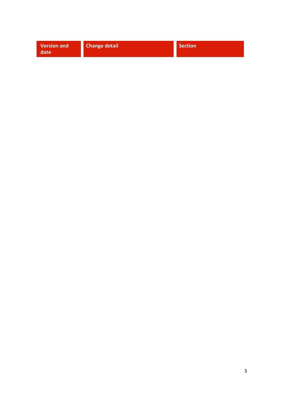| <b>Change detail</b><br><b>Version and</b><br>Section<br>date |  |  |  |
|---------------------------------------------------------------|--|--|--|
|---------------------------------------------------------------|--|--|--|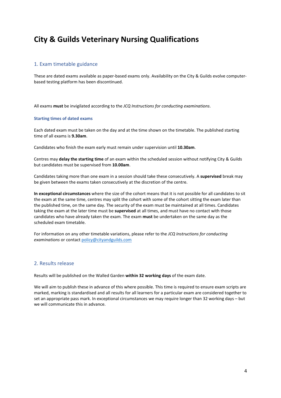### **City & Guilds Veterinary Nursing Qualifications**

#### <span id="page-3-0"></span>1. Exam timetable guidance

These are dated exams available as paper-based exams only. Availability on the City & Guilds evolve computerbased testing platform has been discontinued.

All exams **must** be invigilated according to the *JCQ Instructions for conducting examinations*.

#### <span id="page-3-1"></span>**Starting times of dated exams**

Each dated exam must be taken on the day and at the time shown on the timetable. The published starting time of all exams is **9.30am**.

Candidates who finish the exam early must remain under supervision until **10.30am**.

Centres may **delay the starting time** of an exam within the scheduled session without notifying City & Guilds but candidates must be supervised from **10.00am**.

Candidates taking more than one exam in a session should take these consecutively. A **supervised** break may be given between the exams taken consecutively at the discretion of the centre.

**In exceptional circumstances** where the size of the cohort means that it is not possible for all candidates to sit the exam at the same time, centres may split the cohort with some of the cohort sitting the exam later than the published time, on the same day. The security of the exam must be maintained at all times. Candidates taking the exam at the later time must be **supervised** at all times, and must have no contact with those candidates who have already taken the exam. The exam **must** be undertaken on the same day as the scheduled exam timetable.

For information on any other timetable variations, please refer to the *JCQ Instructions for conducting examinations* or contac[t policy@cityandguilds.com](mailto:policy@cityandguilds.com)

#### <span id="page-3-2"></span>2. Results release

Results will be published on the Walled Garden **within 32 working days** of the exam date.

We will aim to publish these in advance of this where possible. This time is required to ensure exam scripts are marked, marking is standardised and all results for all learners for a particular exam are considered together to set an appropriate pass mark. In exceptional circumstances we may require longer than 32 working days – but we will communicate this in advance.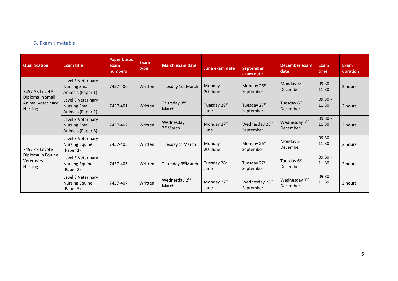#### 3. Exam timetable

<span id="page-4-0"></span>

| <b>Qualification</b>                                                              | <b>Exam title</b>                                               | <b>Paper based</b><br>exam<br>numbers | <b>Exam</b><br>type | <b>March exam date</b>             | June exam date                   | <b>September</b><br>exam date           | December exam<br>date                 | <b>Exam</b><br>time | Exam<br>duration |
|-----------------------------------------------------------------------------------|-----------------------------------------------------------------|---------------------------------------|---------------------|------------------------------------|----------------------------------|-----------------------------------------|---------------------------------------|---------------------|------------------|
| 7457-33 Level 3<br>Diploma in Small<br><b>Animal Veterinary</b><br><b>Nursing</b> | Level 3 Veterinary<br><b>Nursing Small</b><br>Animals (Paper 1) | 7457-400                              | Written             | Tuesday 1st March                  | Monday<br>20 <sup>th</sup> June  | Monday 26 <sup>th</sup><br>September    | Monday 5 <sup>th</sup><br>December    | $09:30 -$<br>11:30  | 2 hours          |
|                                                                                   | Level 3 Veterinary<br><b>Nursing Small</b><br>Animals (Paper 2) | 7457-401                              | Written             | Thursday 3rd<br>March              | Tuesday 28 <sup>th</sup><br>June | Tuesday 27 <sup>th</sup><br>September   | Tuesday 6 <sup>th</sup><br>December   | $09:30 -$<br>11:30  | 2 hours          |
|                                                                                   | Level 3 Veterinary<br><b>Nursing Small</b><br>Animals (Paper 3) | 7457-402                              | Written             | Wednesday<br>$2nd$ March           | Monday 27th<br>June              | Wednesday 28 <sup>th</sup><br>September | Wednesday 7 <sup>th</sup><br>December | $09:30 -$<br>11:30  | 2 hours          |
| 7457-43 Level 3<br>Diploma in Equine<br>Veterinary<br><b>Nursing</b>              | Level 3 Veterinary<br><b>Nursing Equine</b><br>(Paper 1)        | 7457-405                              | Written             | Tuesday 1 <sup>st</sup> March      | Monday<br>20 <sup>th</sup> June  | Monday 26 <sup>th</sup><br>September    | Monday 5 <sup>th</sup><br>December    | $09:30 -$<br>11:30  | 2 hours          |
|                                                                                   | Level 3 Veterinary<br><b>Nursing Equine</b><br>(Paper 2)        | 7457-406                              | Written             | Thursday 3 <sup>rd</sup> March     | Tuesday 28 <sup>th</sup><br>June | Tuesday 27 <sup>th</sup><br>September   | Tuesday 6 <sup>th</sup><br>December   | $09:30 -$<br>11:30  | 2 hours          |
|                                                                                   | Level 3 Veterinary<br><b>Nursing Equine</b><br>(Paper 3)        | 7457-407                              | Written             | Wednesday 2 <sup>nd</sup><br>March | Monday 27 <sup>th</sup><br>June  | Wednesday 28 <sup>th</sup><br>September | Wednesday 7 <sup>th</sup><br>December | $09:30 -$<br>11:30  | 2 hours          |